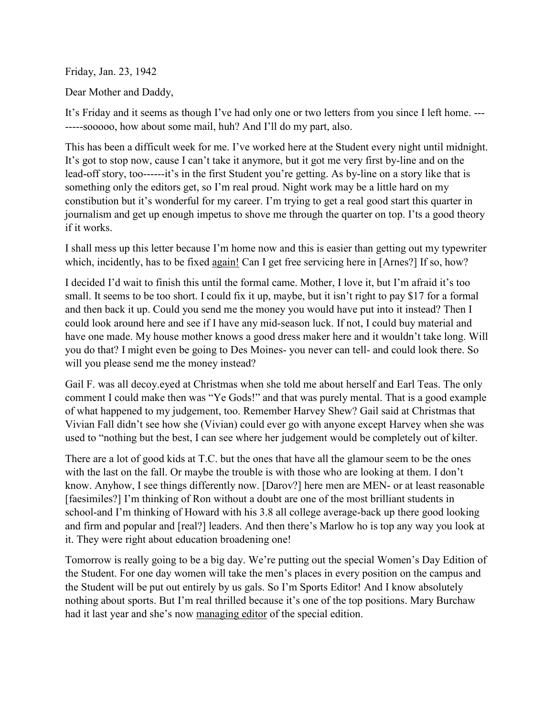Friday, Jan. 23, 1942

Dear Mother and Daddy,

It's Friday and it seems as though I've had only one or two letters from you since I left home. --- -----sooooo, how about some mail, huh? And I'll do my part, also.

This has been a difficult week for me. I've worked here at the Student every night until midnight. It's got to stop now, cause I can't take it anymore, but it got me very first by-line and on the lead-off story, too------it's in the first Student you're getting. As by-line on a story like that is something only the editors get, so I'm real proud. Night work may be a little hard on my constibution but it's wonderful for my career. I'm trying to get a real good start this quarter in journalism and get up enough impetus to shove me through the quarter on top. I'ts a good theory if it works.

I shall mess up this letter because I'm home now and this is easier than getting out my typewriter which, incidently, has to be fixed again! Can I get free servicing here in [Arnes?] If so, how?

I decided I'd wait to finish this until the formal came. Mother, I love it, but I'm afraid it's too small. It seems to be too short. I could fix it up, maybe, but it isn't right to pay \$17 for a formal and then back it up. Could you send me the money you would have put into it instead? Then I could look around here and see if I have any mid-season luck. If not, I could buy material and have one made. My house mother knows a good dress maker here and it wouldn't take long. Will you do that? I might even be going to Des Moines- you never can tell- and could look there. So will you please send me the money instead?

Gail F. was all decoy.eyed at Christmas when she told me about herself and Earl Teas. The only comment I could make then was "Ye Gods!" and that was purely mental. That is a good example of what happened to my judgement, too. Remember Harvey Shew? Gail said at Christmas that Vivian Fall didn't see how she (Vivian) could ever go with anyone except Harvey when she was used to "nothing but the best, I can see where her judgement would be completely out of kilter.

There are a lot of good kids at T.C. but the ones that have all the glamour seem to be the ones with the last on the fall. Or maybe the trouble is with those who are looking at them. I don't know. Anyhow, I see things differently now. [Darov?] here men are MEN- or at least reasonable [faesimiles?] I'm thinking of Ron without a doubt are one of the most brilliant students in school-and I'm thinking of Howard with his 3.8 all college average-back up there good looking and firm and popular and [real?] leaders. And then there's Marlow ho is top any way you look at it. They were right about education broadening one!

Tomorrow is really going to be a big day. We're putting out the special Women's Day Edition of the Student. For one day women will take the men's places in every position on the campus and the Student will be put out entirely by us gals. So I'm Sports Editor! And I know absolutely nothing about sports. But I'm real thrilled because it's one of the top positions. Mary Burchaw had it last year and she's now managing editor of the special edition.